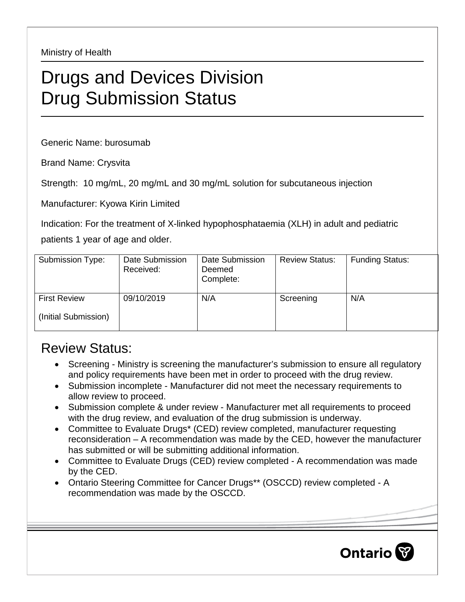Ministry of Health

## Drugs and Devices Division Drug Submission Status

Generic Name: burosumab

Brand Name: Crysvita

Strength: 10 mg/mL, 20 mg/mL and 30 mg/mL solution for subcutaneous injection

Manufacturer: Kyowa Kirin Limited

Indication: For the treatment of X-linked hypophosphataemia (XLH) in adult and pediatric

patients 1 year of age and older.

| Submission Type:     | Date Submission<br>Received: | Date Submission<br>Deemed<br>Complete: | <b>Review Status:</b> | <b>Funding Status:</b> |
|----------------------|------------------------------|----------------------------------------|-----------------------|------------------------|
| <b>First Review</b>  | 09/10/2019                   | N/A                                    | Screening             | N/A                    |
| (Initial Submission) |                              |                                        |                       |                        |

## Review Status:

- Screening Ministry is screening the manufacturer's submission to ensure all regulatory and policy requirements have been met in order to proceed with the drug review.
- Submission incomplete Manufacturer did not meet the necessary requirements to allow review to proceed.
- Submission complete & under review Manufacturer met all requirements to proceed with the drug review, and evaluation of the drug submission is underway.
- Committee to Evaluate Drugs\* (CED) review completed, manufacturer requesting reconsideration – A recommendation was made by the CED, however the manufacturer has submitted or will be submitting additional information.
- Committee to Evaluate Drugs (CED) review completed A recommendation was made by the CED.
- Ontario Steering Committee for Cancer Drugs\*\* (OSCCD) review completed A recommendation was made by the OSCCD.